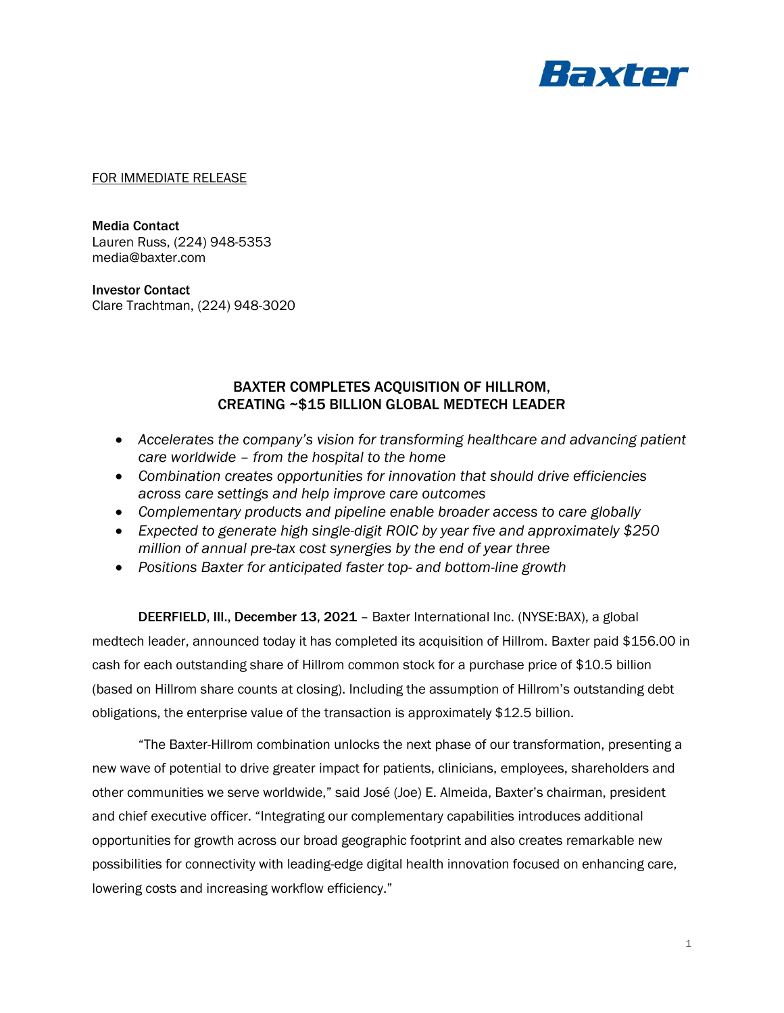

FOR IMMEDIATE RELEASE

Media Contact Lauren Russ, (224) 948-5353 media@baxter.com

Investor Contact Clare Trachtman, (224) 948-3020

# BAXTER COMPLETES ACQUISITION OF HILLROM, CREATING ~\$15 BILLION GLOBAL MEDTECH LEADER

- *Accelerates the company's vision for transforming healthcare and advancing patient care worldwide – from the hospital to the home*
- *Combination creates opportunities for innovation that should drive efficiencies across care settings and help improve care outcomes*
- *Complementary products and pipeline enable broader access to care globally*
- *Expected to generate high single-digit ROIC by year five and approximately \$250 million of annual pre-tax cost synergies by the end of year three*
- *Positions Baxter for anticipated faster top- and bottom-line growth*

DEERFIELD, Ill., December 13, 2021 – Baxter International Inc. (NYSE:BAX), a global medtech leader, announced today it has completed its acquisition of Hillrom. Baxter paid \$156.00 in cash for each outstanding share of Hillrom common stock for a purchase price of \$10.5 billion (based on Hillrom share counts at closing). Including the assumption of Hillrom's outstanding debt obligations, the enterprise value of the transaction is approximately \$12.5 billion.

"The Baxter-Hillrom combination unlocks the next phase of our transformation, presenting a new wave of potential to drive greater impact for patients, clinicians, employees, shareholders and other communities we serve worldwide," said José (Joe) E. Almeida, Baxter's chairman, president and chief executive officer. "Integrating our complementary capabilities introduces additional opportunities for growth across our broad geographic footprint and also creates remarkable new possibilities for connectivity with leading-edge digital health innovation focused on enhancing care, lowering costs and increasing workflow efficiency."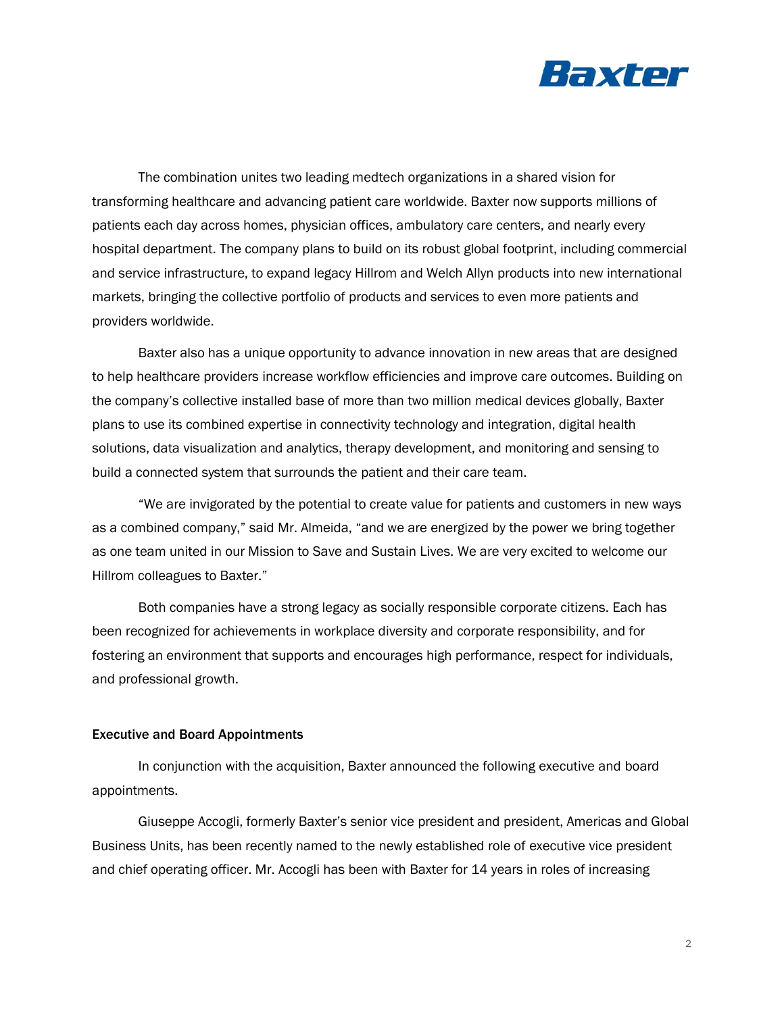

The combination unites two leading medtech organizations in a shared vision for transforming healthcare and advancing patient care worldwide. Baxter now supports millions of patients each day across homes, physician offices, ambulatory care centers, and nearly every hospital department. The company plans to build on its robust global footprint, including commercial and service infrastructure, to expand legacy Hillrom and Welch Allyn products into new international markets, bringing the collective portfolio of products and services to even more patients and providers worldwide.

Baxter also has a unique opportunity to advance innovation in new areas that are designed to help healthcare providers increase workflow efficiencies and improve care outcomes. Building on the company's collective installed base of more than two million medical devices globally, Baxter plans to use its combined expertise in connectivity technology and integration, digital health solutions, data visualization and analytics, therapy development, and monitoring and sensing to build a connected system that surrounds the patient and their care team.

"We are invigorated by the potential to create value for patients and customers in new ways as a combined company," said Mr. Almeida, "and we are energized by the power we bring together as one team united in our Mission to Save and Sustain Lives. We are very excited to welcome our Hillrom colleagues to Baxter."

Both companies have a strong legacy as socially responsible corporate citizens. Each has been recognized for achievements in workplace diversity and corporate responsibility, and for fostering an environment that supports and encourages high performance, respect for individuals, and professional growth.

#### Executive and Board Appointments

In conjunction with the acquisition, Baxter announced the following executive and board appointments.

Giuseppe Accogli, formerly Baxter's senior vice president and president, Americas and Global Business Units, has been recently named to the newly established role of executive vice president and chief operating officer. Mr. Accogli has been with Baxter for 14 years in roles of increasing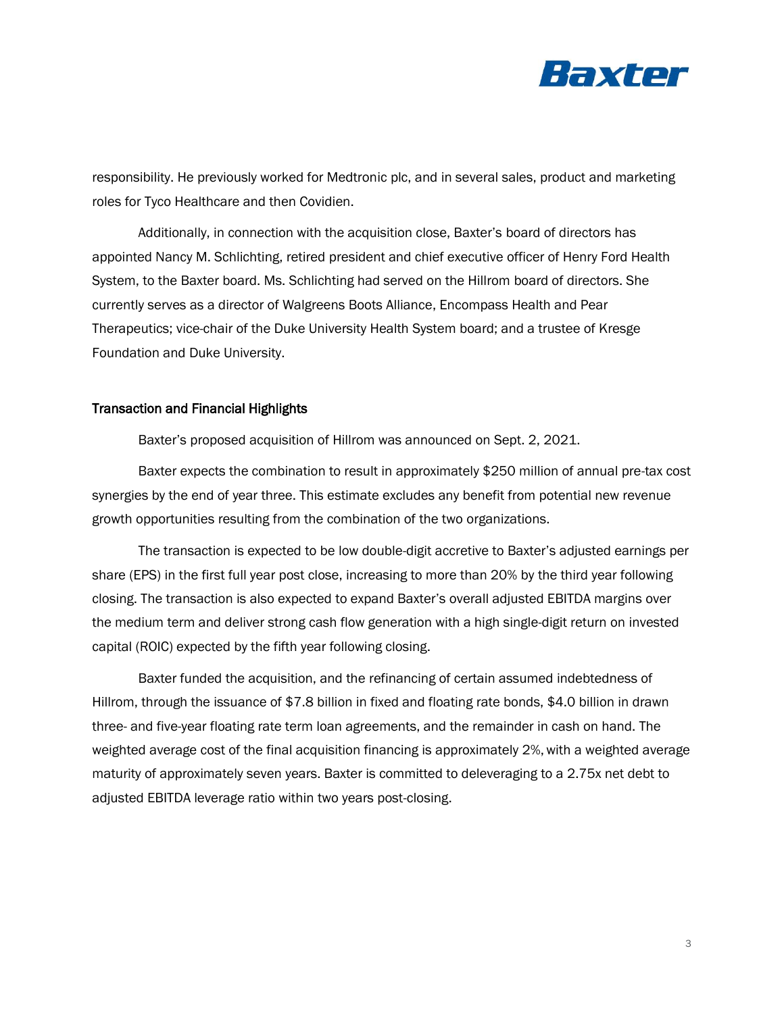

responsibility. He previously worked for Medtronic plc, and in several sales, product and marketing roles for Tyco Healthcare and then Covidien.

Additionally, in connection with the acquisition close, Baxter's board of directors has appointed Nancy M. Schlichting, retired president and chief executive officer of Henry Ford Health System, to the Baxter board. Ms. Schlichting had served on the Hillrom board of directors. She currently serves as a director of Walgreens Boots Alliance, Encompass Health and Pear Therapeutics; vice-chair of the Duke University Health System board; and a trustee of Kresge Foundation and Duke University.

### Transaction and Financial Highlights

Baxter's proposed acquisition of Hillrom was announced on Sept. 2, 2021.

Baxter expects the combination to result in approximately \$250 million of annual pre-tax cost synergies by the end of year three. This estimate excludes any benefit from potential new revenue growth opportunities resulting from the combination of the two organizations.

The transaction is expected to be low double-digit accretive to Baxter's adjusted earnings per share (EPS) in the first full year post close, increasing to more than 20% by the third year following closing. The transaction is also expected to expand Baxter's overall adjusted EBITDA margins over the medium term and deliver strong cash flow generation with a high single-digit return on invested capital (ROIC) expected by the fifth year following closing.

Baxter funded the acquisition, and the refinancing of certain assumed indebtedness of Hillrom, through the issuance of \$7.8 billion in fixed and floating rate bonds, \$4.0 billion in drawn three- and five-year floating rate term loan agreements, and the remainder in cash on hand. The weighted average cost of the final acquisition financing is approximately 2%, with a weighted average maturity of approximately seven years. Baxter is committed to deleveraging to a 2.75x net debt to adjusted EBITDA leverage ratio within two years post-closing.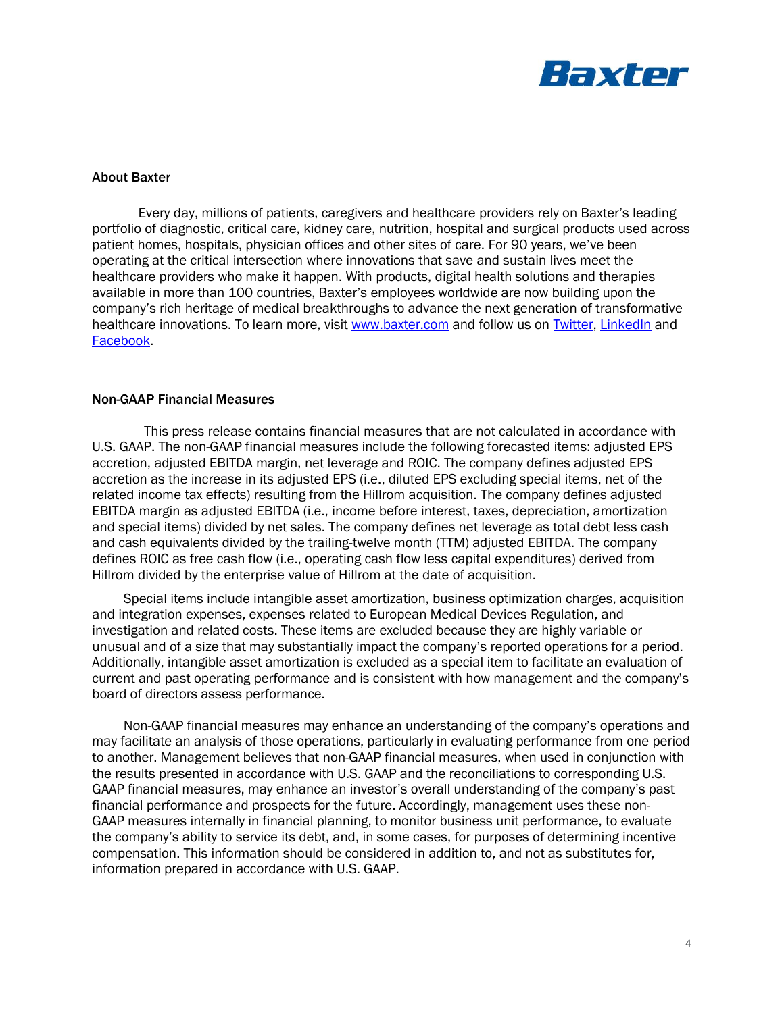

#### About Baxter

Every day, millions of patients, caregivers and healthcare providers rely on Baxter's leading portfolio of diagnostic, critical care, kidney care, nutrition, hospital and surgical products used across patient homes, hospitals, physician offices and other sites of care. For 90 years, we've been operating at the critical intersection where innovations that save and sustain lives meet the healthcare providers who make it happen. With products, digital health solutions and therapies available in more than 100 countries, Baxter's employees worldwide are now building upon the company's rich heritage of medical breakthroughs to advance the next generation of transformative healthcare innovations. To learn more, visit [www.baxter.com](http://www.baxter.com/) and follow us on [Twitter,](https://twitter.com/baxter_intl) [LinkedIn](https://www.linkedin.com/company/baxter-healthcare/) and [Facebook.](https://www.facebook.com/BaxterInternationalInc/)

## Non-GAAP Financial Measures

This press release contains financial measures that are not calculated in accordance with U.S. GAAP. The non-GAAP financial measures include the following forecasted items: adjusted EPS accretion, adjusted EBITDA margin, net leverage and ROIC. The company defines adjusted EPS accretion as the increase in its adjusted EPS (i.e., diluted EPS excluding special items, net of the related income tax effects) resulting from the Hillrom acquisition. The company defines adjusted EBITDA margin as adjusted EBITDA (i.e., income before interest, taxes, depreciation, amortization and special items) divided by net sales. The company defines net leverage as total debt less cash and cash equivalents divided by the trailing-twelve month (TTM) adjusted EBITDA. The company defines ROIC as free cash flow (i.e., operating cash flow less capital expenditures) derived from Hillrom divided by the enterprise value of Hillrom at the date of acquisition.

Special items include intangible asset amortization, business optimization charges, acquisition and integration expenses, expenses related to European Medical Devices Regulation, and investigation and related costs. These items are excluded because they are highly variable or unusual and of a size that may substantially impact the company's reported operations for a period. Additionally, intangible asset amortization is excluded as a special item to facilitate an evaluation of current and past operating performance and is consistent with how management and the company's board of directors assess performance.

Non-GAAP financial measures may enhance an understanding of the company's operations and may facilitate an analysis of those operations, particularly in evaluating performance from one period to another. Management believes that non-GAAP financial measures, when used in conjunction with the results presented in accordance with U.S. GAAP and the reconciliations to corresponding U.S. GAAP financial measures, may enhance an investor's overall understanding of the company's past financial performance and prospects for the future. Accordingly, management uses these non-GAAP measures internally in financial planning, to monitor business unit performance, to evaluate the company's ability to service its debt, and, in some cases, for purposes of determining incentive compensation. This information should be considered in addition to, and not as substitutes for, information prepared in accordance with U.S. GAAP.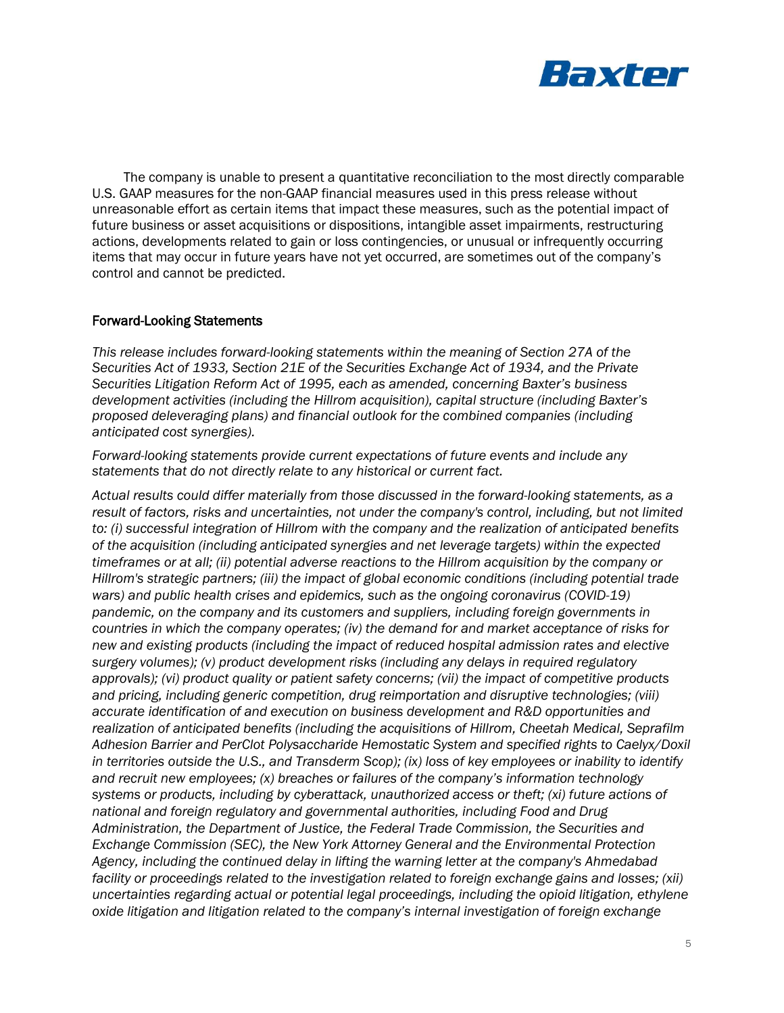

The company is unable to present a quantitative reconciliation to the most directly comparable U.S. GAAP measures for the non-GAAP financial measures used in this press release without unreasonable effort as certain items that impact these measures, such as the potential impact of future business or asset acquisitions or dispositions, intangible asset impairments, restructuring actions, developments related to gain or loss contingencies, or unusual or infrequently occurring items that may occur in future years have not yet occurred, are sometimes out of the company's control and cannot be predicted.

## Forward-Looking Statements

*This release includes forward-looking statements within the meaning of Section 27A of the Securities Act of 1933, Section 21E of the Securities Exchange Act of 1934, and the Private Securities Litigation Reform Act of 1995, each as amended, concerning Baxter's business development activities (including the Hillrom acquisition), capital structure (including Baxter's proposed deleveraging plans) and financial outlook for the combined companies (including anticipated cost synergies).*

*Forward-looking statements provide current expectations of future events and include any statements that do not directly relate to any historical or current fact.*

*Actual results could differ materially from those discussed in the forward-looking statements, as a result of factors, risks and uncertainties, not under the company's control, including, but not limited to: (i) successful integration of Hillrom with the company and the realization of anticipated benefits of the acquisition (including anticipated synergies and net leverage targets) within the expected timeframes or at all; (ii) potential adverse reactions to the Hillrom acquisition by the company or Hillrom's strategic partners; (iii) the impact of global economic conditions (including potential trade wars) and public health crises and epidemics, such as the ongoing coronavirus (COVID-19) pandemic, on the company and its customers and suppliers, including foreign governments in countries in which the company operates; (iv) the demand for and market acceptance of risks for new and existing products (including the impact of reduced hospital admission rates and elective surgery volumes); (v) product development risks (including any delays in required regulatory approvals); (vi) product quality or patient safety concerns; (vii) the impact of competitive products and pricing, including generic competition, drug reimportation and disruptive technologies; (viii) accurate identification of and execution on business development and R&D opportunities and realization of anticipated benefits (including the acquisitions of Hillrom, Cheetah Medical, Seprafilm Adhesion Barrier and PerClot Polysaccharide Hemostatic System and specified rights to Caelyx/Doxil in territories outside the U.S., and Transderm Scop); (ix) loss of key employees or inability to identify and recruit new employees; (x) breaches or failures of the company's information technology systems or products, including by cyberattack, unauthorized access or theft; (xi) future actions of national and foreign regulatory and governmental authorities, including Food and Drug Administration, the Department of Justice, the Federal Trade Commission, the Securities and Exchange Commission (SEC), the New York Attorney General and the Environmental Protection Agency, including the continued delay in lifting the warning letter at the company's Ahmedabad facility or proceedings related to the investigation related to foreign exchange gains and losses; (xii) uncertainties regarding actual or potential legal proceedings, including the opioid litigation, ethylene oxide litigation and litigation related to the company's internal investigation of foreign exchange*